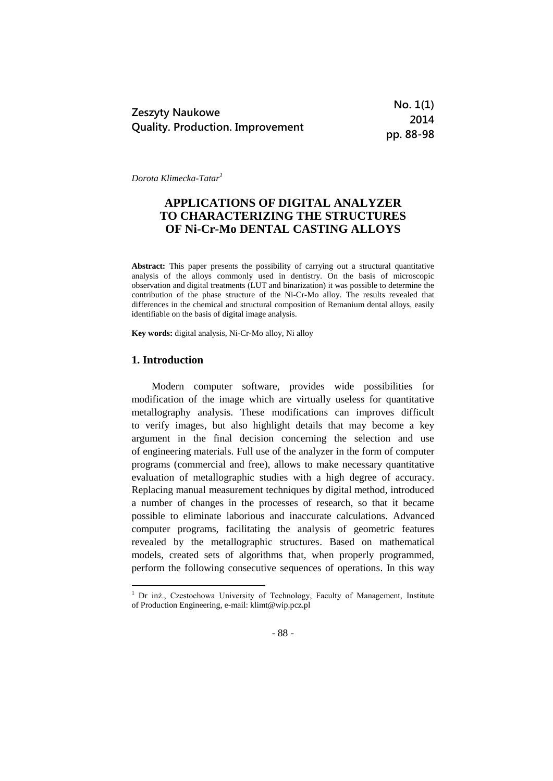|                                         | No. 1(1)  |
|-----------------------------------------|-----------|
| <b>Zeszyty Naukowe</b>                  | 2014      |
| <b>Quality. Production. Improvement</b> | pp. 88-98 |

*Dorota Klimecka-Tatar<sup>1</sup>*

# **APPLICATIONS OF DIGITAL ANALYZER TO CHARACTERIZING THE STRUCTURES OF Ni-Cr-Mo DENTAL CASTING ALLOYS**

**Abstract:** This paper presents the possibility of carrying out a structural quantitative analysis of the alloys commonly used in dentistry. On the basis of microscopic observation and digital treatments (LUT and binarization) it was possible to determine the contribution of the phase structure of the Ni-Cr-Mo alloy. The results revealed that differences in the chemical and structural composition of Remanium dental alloys, easily identifiable on the basis of digital image analysis.

**Key words:** digital analysis, Ni-Cr-Mo alloy, Ni alloy

# **1. Introduction**

1

Modern computer software, provides wide possibilities for modification of the image which are virtually useless for quantitative metallography analysis. These modifications can improves difficult to verify images, but also highlight details that may become a key argument in the final decision concerning the selection and use of engineering materials. Full use of the analyzer in the form of computer programs (commercial and free), allows to make necessary quantitative evaluation of metallographic studies with a high degree of accuracy. Replacing manual measurement techniques by digital method, introduced a number of changes in the processes of research, so that it became possible to eliminate laborious and inaccurate calculations. Advanced computer programs, facilitating the analysis of geometric features revealed by the metallographic structures. Based on mathematical models, created sets of algorithms that, when properly programmed, perform the following consecutive sequences of operations. In this way

<sup>&</sup>lt;sup>1</sup> Dr inż., Czestochowa University of Technology, Faculty of Management, Institute of Production Engineering, e-mail: klimt@wip.pcz.pl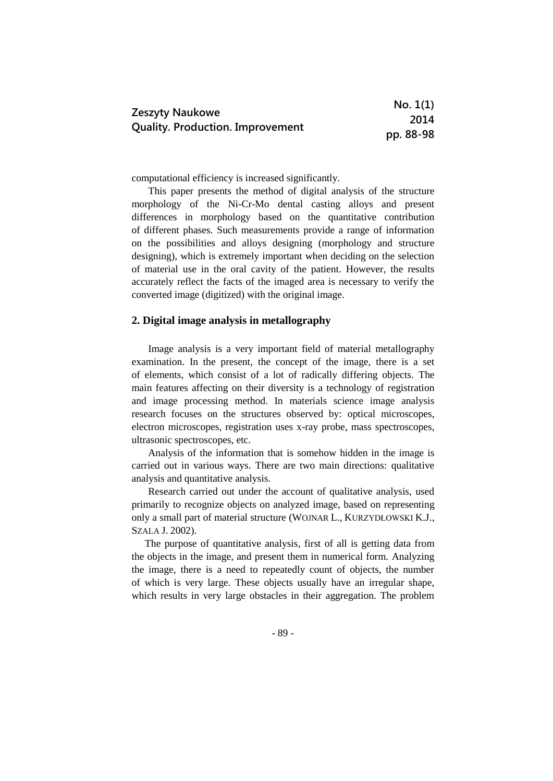|                                         | No. 1(1)  |
|-----------------------------------------|-----------|
| <b>Zeszyty Naukowe</b>                  | 2014      |
| <b>Quality. Production. Improvement</b> | pp. 88-98 |

computational efficiency is increased significantly.

This paper presents the method of digital analysis of the structure morphology of the Ni-Cr-Mo dental casting alloys and present differences in morphology based on the quantitative contribution of different phases. Such measurements provide a range of information on the possibilities and alloys designing (morphology and structure designing), which is extremely important when deciding on the selection of material use in the oral cavity of the patient. However, the results accurately reflect the facts of the imaged area is necessary to verify the converted image (digitized) with the original image.

# **2. Digital image analysis in metallography**

Image analysis is a very important field of material metallography examination. In the present, the concept of the image, there is a set of elements, which consist of a lot of radically differing objects. The main features affecting on their diversity is a technology of registration and image processing method. In materials science image analysis research focuses on the structures observed by: optical microscopes, electron microscopes, registration uses x-ray probe, mass spectroscopes, ultrasonic spectroscopes, etc.

Analysis of the information that is somehow hidden in the image is carried out in various ways. There are two main directions: qualitative analysis and quantitative analysis.

Research carried out under the account of qualitative analysis, used primarily to recognize objects on analyzed image, based on representing only a small part of material structure (WOJNAR L., KURZYDŁOWSKI K.J., SZALA J. 2002).

The purpose of quantitative analysis, first of all is getting data from the objects in the image, and present them in numerical form. Analyzing the image, there is a need to repeatedly count of objects, the number of which is very large. These objects usually have an irregular shape, which results in very large obstacles in their aggregation. The problem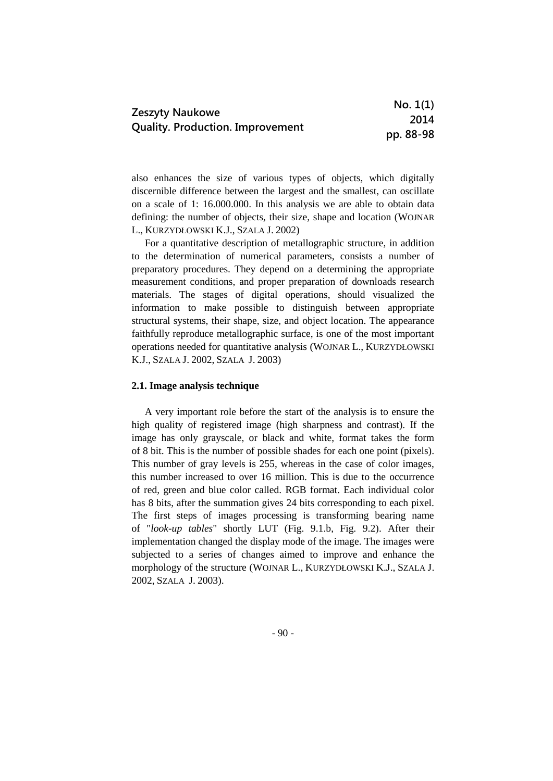|                                         | No. 1(1)  |
|-----------------------------------------|-----------|
| <b>Zeszyty Naukowe</b>                  | 2014      |
| <b>Quality. Production. Improvement</b> | pp. 88-98 |

also enhances the size of various types of objects, which digitally discernible difference between the largest and the smallest, can oscillate on a scale of 1: 16.000.000. In this analysis we are able to obtain data defining: the number of objects, their size, shape and location (WOJNAR L., KURZYDŁOWSKI K.J., SZALA J. 2002)

For a quantitative description of metallographic structure, in addition to the determination of numerical parameters, consists a number of preparatory procedures. They depend on a determining the appropriate measurement conditions, and proper preparation of downloads research materials. The stages of digital operations, should visualized the information to make possible to distinguish between appropriate structural systems, their shape, size, and object location. The appearance faithfully reproduce metallographic surface, is one of the most important operations needed for quantitative analysis (WOJNAR L., KURZYDŁOWSKI K.J., SZALA J. 2002, SZALA J. 2003)

#### **2.1. Image analysis technique**

A very important role before the start of the analysis is to ensure the high quality of registered image (high sharpness and contrast). If the image has only grayscale, or black and white, format takes the form of 8 bit. This is the number of possible shades for each one point (pixels). This number of gray levels is 255, whereas in the case of color images, this number increased to over 16 million. This is due to the occurrence of red, green and blue color called. RGB format. Each individual color has 8 bits, after the summation gives 24 bits corresponding to each pixel. The first steps of images processing is transforming bearing name of "*look-up tables*" shortly LUT (Fig. 9.1.b, Fig. 9.2). After their implementation changed the display mode of the image. The images were subjected to a series of changes aimed to improve and enhance the morphology of the structure (WOJNAR L., KURZYDŁOWSKI K.J., SZALA J. 2002, SZALA J. 2003).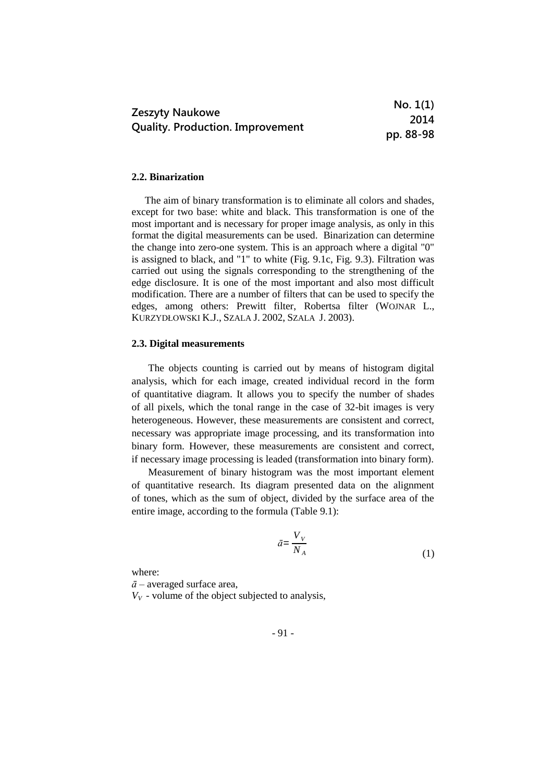|                                         | No. 1(1)  |
|-----------------------------------------|-----------|
| <b>Zeszyty Naukowe</b>                  | 2014      |
| <b>Quality. Production. Improvement</b> | pp. 88-98 |

#### **2.2. Binarization**

The aim of binary transformation is to eliminate all colors and shades, except for two base: white and black. This transformation is one of the most important and is necessary for proper image analysis, as only in this format the digital measurements can be used. Binarization can determine the change into zero-one system. This is an approach where a digital "0" is assigned to black, and "1" to white (Fig. 9.1c, Fig. 9.3). Filtration was carried out using the signals corresponding to the strengthening of the edge disclosure. It is one of the most important and also most difficult modification. There are a number of filters that can be used to specify the edges, among others: Prewitt filter, Robertsa filter (WOJNAR L., KURZYDŁOWSKI K.J., SZALA J. 2002, SZALA J. 2003).

#### **2.3. Digital measurements**

The objects counting is carried out by means of histogram digital analysis, which for each image, created individual record in the form of quantitative diagram. It allows you to specify the number of shades of all pixels, which the tonal range in the case of 32-bit images is very heterogeneous. However, these measurements are consistent and correct, necessary was appropriate image processing, and its transformation into binary form. However, these measurements are consistent and correct, if necessary image processing is leaded (transformation into binary form).

Measurement of binary histogram was the most important element of quantitative research. Its diagram presented data on the alignment of tones, which as the sum of object, divided by the surface area of the entire image, according to the formula (Table 9.1):

$$
\bar{a} = \frac{V_V}{N_A} \tag{1}
$$

where:

*ā –* averaged surface area,

 $V_V$  - volume of the object subjected to analysis,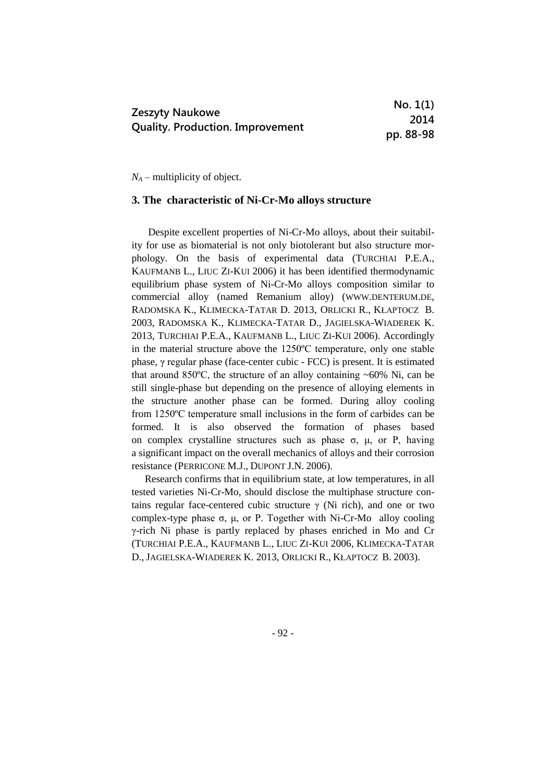|                                         | No. 1(1)  |
|-----------------------------------------|-----------|
| <b>Zeszyty Naukowe</b>                  | 2014      |
| <b>Quality. Production. Improvement</b> | pp. 88-98 |

*N<sup>A</sup> –* multiplicity of object.

## **3. The characteristic of Ni-Cr-Mo alloys structure**

Despite excellent properties of Ni-Cr-Mo alloys, about their suitability for use as biomaterial is not only biotolerant but also structure morphology. On the basis of experimental data (TURCHIAI P.E.A., KAUFMANB L., LIUC ZI-KUI 2006) it has been identified thermodynamic equilibrium phase system of Ni-Cr-Mo alloys composition similar to commercial alloy (named Remanium alloy) (WWW.DENTERUM.DE, RADOMSKA K., KLIMECKA-TATAR D. 2013, ORLICKI R., KŁAPTOCZ B. 2003, RADOMSKA K., KLIMECKA-TATAR D., JAGIELSKA-WIADEREK K. 2013, TURCHIAI P.E.A., KAUFMANB L., LIUC ZI-KUI 2006). Accordingly in the material structure above the 1250ºC temperature, only one stable phase, γ regular phase (face-center cubic - FCC) is present. It is estimated that around  $850^{\circ}$ C, the structure of an alloy containing  $~60\%$  Ni, can be still single-phase but depending on the presence of alloying elements in the structure another phase can be formed. During alloy cooling from 1250ºC temperature small inclusions in the form of carbides can be formed. It is also observed the formation of phases based on complex crystalline structures such as phase  $\sigma$ ,  $\mu$ , or P, having a significant impact on the overall mechanics of alloys and their corrosion resistance (PERRICONE M.J., DUPONT J.N. 2006).

Research confirms that in equilibrium state, at low temperatures, in all tested varieties Ni-Cr-Mo, should disclose the multiphase structure contains regular face-centered cubic structure  $\gamma$  (Ni rich), and one or two complex-type phase σ, μ, or P. Together with Ni-Cr-Mo alloy cooling γ-rich Ni phase is partly replaced by phases enriched in Mo and Cr (TURCHIAI P.E.A., KAUFMANB L., LIUC ZI-KUI 2006, KLIMECKA-TATAR D., JAGIELSKA-WIADEREK K. 2013, ORLICKI R., KŁAPTOCZ B. 2003).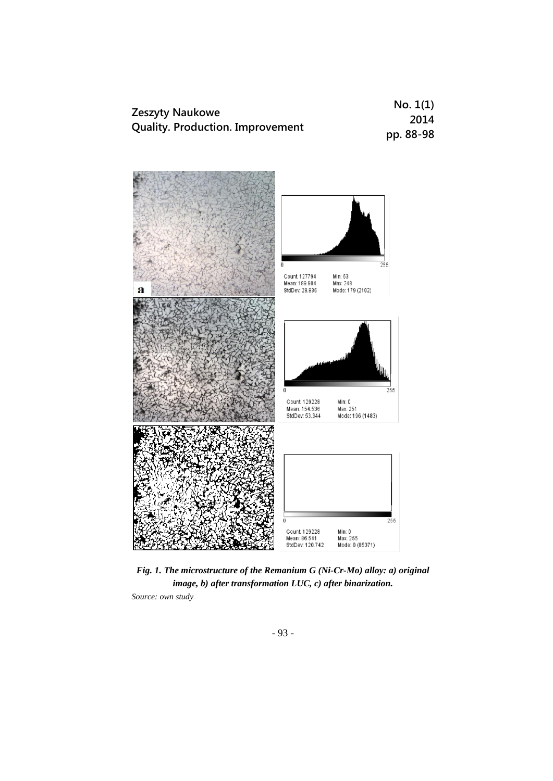| <b>Zeszyty Naukowe</b>                  | No. 1(1)  |
|-----------------------------------------|-----------|
| <b>Quality. Production. Improvement</b> | 2014      |
|                                         | pp. 88-98 |



*Fig. 1. The microstructure of the Remanium G (Ni-Cr-Mo) alloy: a) original image, b) after transformation LUC, c) after binarization.*

*Source: own study*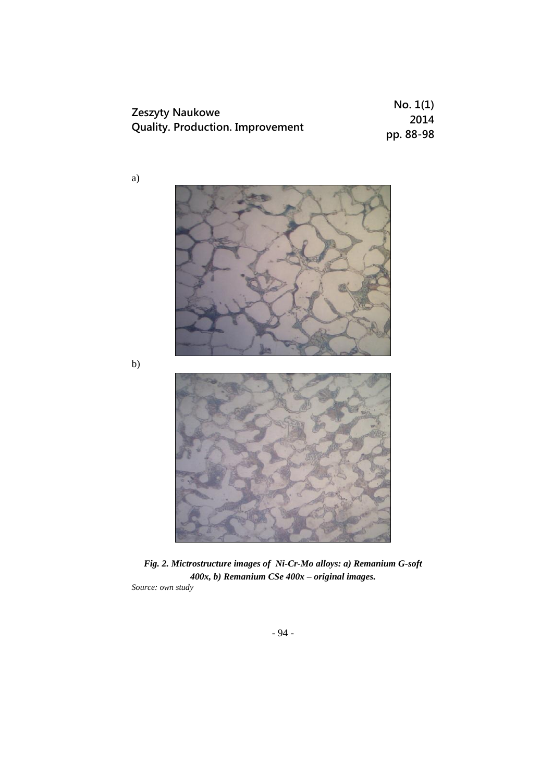| <b>Zeszyty Naukowe</b><br><b>Quality. Production. Improvement</b> | No. 1(1)  |
|-------------------------------------------------------------------|-----------|
|                                                                   | 2014      |
|                                                                   | pp. 88-98 |



*Fig. 2. Mictrostructure images of Ni-Cr-Mo alloys: a) Remanium G-soft 400x, b) Remanium CSe 400x – original images.*

*Source: own study*

a)

b)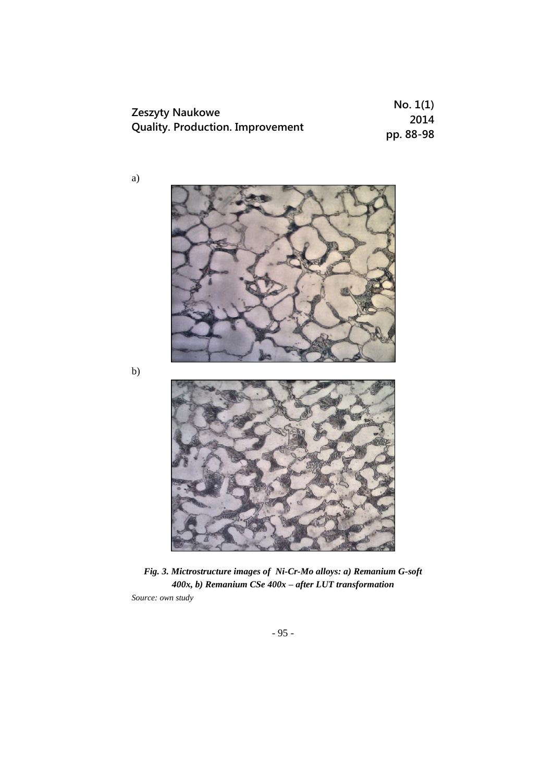| <b>Zeszyty Naukowe</b><br><b>Quality. Production. Improvement</b> | No. 1(1)  |
|-------------------------------------------------------------------|-----------|
|                                                                   | 2014      |
|                                                                   | pp. 88-98 |



*Fig. 3. Mictrostructure images of Ni-Cr-Mo alloys: a) Remanium G-soft 400x, b) Remanium CSe 400x – after LUT transformation Source: own study*

- 95 -

b)

a)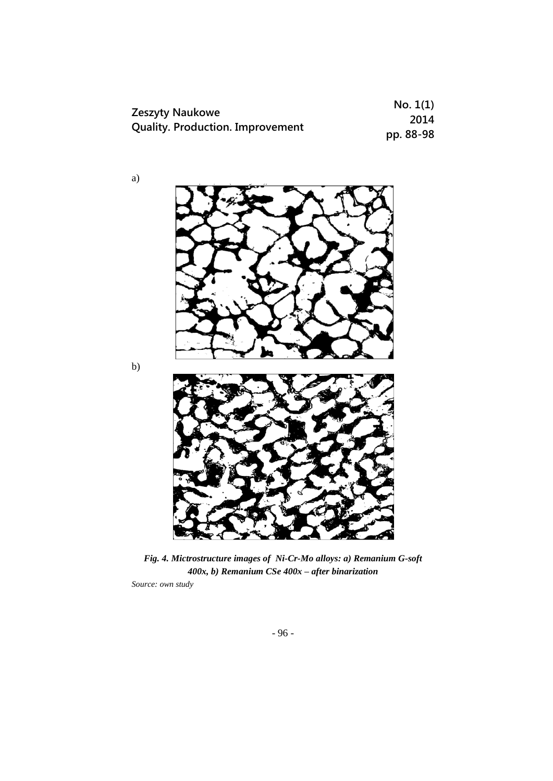| Zeszyty Naukowe<br><b>Quality. Production. Improvement</b> | No. 1(1)  |
|------------------------------------------------------------|-----------|
|                                                            | 2014      |
|                                                            | pp. 88-98 |

*Fig. 4. Mictrostructure images of Ni-Cr-Mo alloys: a) Remanium G-soft 400x, b) Remanium CSe 400x – after binarization*

*Source: own study*

a)

b)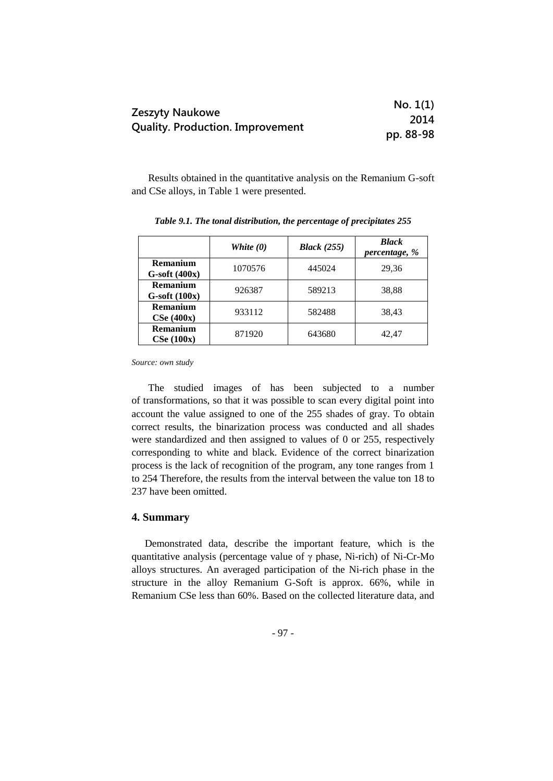|                                         | No. 1(1)  |
|-----------------------------------------|-----------|
| Zeszyty Naukowe                         | 2014      |
| <b>Quality. Production. Improvement</b> | pp. 88-98 |

Results obtained in the quantitative analysis on the Remanium G-soft and CSe alloys, in Table 1 were presented.

|                                | White $(0)$ | <b>Black</b> (255) | <b>Black</b><br>percentage, % |
|--------------------------------|-------------|--------------------|-------------------------------|
| Remanium<br>$G$ -soft $(400x)$ | 1070576     | 445024             | 29,36                         |
| Remanium<br>$G$ -soft $(100x)$ | 926387      | 589213             | 38,88                         |
| Remanium<br>CSe(400x)          | 933112      | 582488             | 38,43                         |
| Remanium<br>CSe(100x)          | 871920      | 643680             | 42.47                         |

*Table 9.1. The tonal distribution, the percentage of precipitates 255*

*Source: own study*

The studied images of has been subjected to a number of transformations, so that it was possible to scan every digital point into account the value assigned to one of the 255 shades of gray. To obtain correct results, the binarization process was conducted and all shades were standardized and then assigned to values of 0 or 255, respectively corresponding to white and black. Evidence of the correct binarization process is the lack of recognition of the program, any tone ranges from 1 to 254 Therefore, the results from the interval between the value ton 18 to 237 have been omitted.

## **4. Summary**

Demonstrated data, describe the important feature, which is the quantitative analysis (percentage value of  $\gamma$  phase, Ni-rich) of Ni-Cr-Mo alloys structures. An averaged participation of the Ni-rich phase in the structure in the alloy Remanium G-Soft is approx. 66%, while in Remanium CSe less than 60%. Based on the collected literature data, and